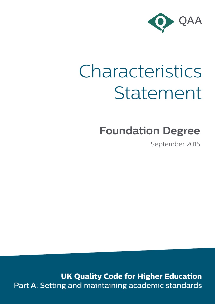

# Characteristics Statement

# **Foundation Degree**

September 2015

**UK Quality Code for Higher Education** Part A: Setting and maintaining academic standards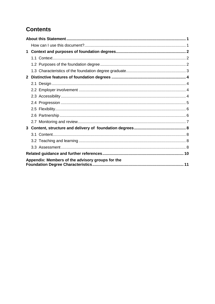# **Contents**

| 1            |                                                  |  |
|--------------|--------------------------------------------------|--|
|              |                                                  |  |
|              |                                                  |  |
|              |                                                  |  |
| $\mathbf{2}$ |                                                  |  |
|              |                                                  |  |
|              |                                                  |  |
|              |                                                  |  |
|              |                                                  |  |
|              |                                                  |  |
|              |                                                  |  |
|              |                                                  |  |
| 3            |                                                  |  |
|              |                                                  |  |
|              |                                                  |  |
|              |                                                  |  |
|              |                                                  |  |
|              | Appendix: Members of the advisory groups for the |  |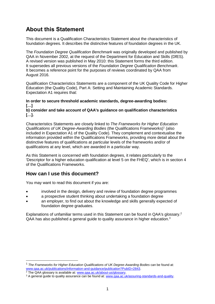# <span id="page-2-0"></span>**About this Statement**

This document is a Qualification Characteristics Statement about the characteristics of foundation degrees. It describes the distinctive features of foundation degrees in the UK.

The *Foundation Degree Qualification Benchmark* was originally developed and published by QAA in November 2002, at the request of the Department for Education and Skills (DfES). A revised version was published in May 2010: this Statement forms the third edition. It supersedes all previous versions of the *Foundation Degree Qualification Benchmark*. It becomes a reference point for the purposes of reviews coordinated by QAA from August 2016.

Qualification Characteristics Statements are a component of the UK Quality Code for Higher Education (the Quality Code), Part A: Setting and Maintaining Academic Standards. Expectation A1 requires that:

#### **In order to secure threshold academic standards, degree-awarding bodies: […]**

**b) consider and take account of QAA's guidance on qualification characteristics […].**

Characteristics Statements are closely linked to *The Frameworks for Higher Education Qualifications of UK Degree-Awarding Bodies* (the Qualifications Frameworks)<sup>1</sup> (also included in Expectation A1 of the Quality Code). They complement and contextualise the information provided within the Qualifications Frameworks, providing more detail about the distinctive features of qualifications at particular levels of the frameworks and/or of qualifications at any level, which are awarded in a particular way.

As this Statement is concerned with foundation degrees, it relates particularly to the 'Descriptor for a higher education qualification at level 5 on the FHEQ', which is in section 4 of the Qualifications Frameworks.

#### <span id="page-2-1"></span>**How can I use this document?**

You may want to read this document if you are:

- involved in the design, delivery and review of foundation degree programmes
- a prospective student thinking about undertaking a foundation degree
- an employer, to find out about the knowledge and skills generally expected of foundation degree graduates.

Explanations of unfamiliar terms used in this Statement can be found in QAA's glossary.<sup>2</sup>  $QAA$  has also published a general quide to quality assurance in higher education.<sup>3</sup>

-

<sup>1</sup> *The Frameworks for Higher Education Qualifications of UK Degree-Awarding Bodies* can be found at: [www.qaa.ac.uk/publications/information-and-guidance/publication?PubID=2843.](http://www.qaa.ac.uk/publications/information-and-guidance/publication?PubID=2843)

<sup>&</sup>lt;sup>2</sup> The QAA glossary is available at: www.gaa.ac.uk/about-us/glossary.

<sup>3</sup> A general guide to quality assurance can be found at: [www.qaa.ac.uk/assuring-standards-and-quality.](http://www.qaa.ac.uk/assuring-standards-and-quality)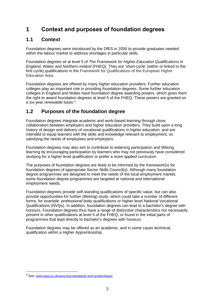# <span id="page-3-0"></span>**1 Context and purposes of foundation degrees**

#### <span id="page-3-1"></span>**1.1 Context**

Foundation degrees were introduced by the DfES in 2000 to provide graduates needed within the labour market to address shortages in particular skills.

Foundation degrees sit at level 5 of *The Framework for Higher Education Qualifications in England, Wales and Northern Ireland* (FHEQ). They are 'short-cycle' (within or linked to the first cycle) qualifications in the Framework for Qualifications of the European Higher Education Area.

Foundation degrees are offered by many higher education providers. Further education colleges play an important role in providing foundation degrees. Some further education colleges in England and Wales have foundation degree awarding powers, which gives them the right to award foundation degrees at level 5 of the FHEQ. These powers are granted on a six-year renewable basis. 4

#### <span id="page-3-2"></span>**1.2 Purposes of the foundation degree**

Foundation degrees integrate academic and work-based learning through close collaboration between employers and higher education providers. They build upon a long history of design and delivery of vocational qualifications in higher education, and are intended to equip learners with the skills and knowledge relevant to employment, so satisfying the needs of employees and employers.

Foundation degrees may also aim to contribute to widening participation and lifelong learning by encouraging participation by learners who may not previously have considered studying for a higher level qualification or prefer a more applied curriculum.

The purposes of foundation degrees are likely to be informed by the framework(s) for foundation degrees of appropriate Sector Skills Council(s). Although many foundation degree programmes are designed to meet the needs of the local employment market, some foundation degree programmes are targeted at national and international employment needs.

Foundation degrees provide self-standing qualifications of specific value, but can also provide opportunities for further (lifelong) study, which could take a number of different forms, for example: professional body qualifications or higher-level National Vocational Qualifications (NVQs). In addition, foundation degrees can lead to a bachelor's degree with honours. Foundation degrees thus have a range of distinctive characteristics not necessarily present in other qualifications at level 5 of the FHEQ, or found in the initial parts of programmes that lead directly to bachelor's degrees with honours.

Foundation degrees may be offered as an academic, and in some cases technical, qualification within a Higher Apprenticeship.

-

<sup>4</sup> See: [www.qaa.ac.uk/assuring-standards-and-quality/daput.](http://www.qaa.ac.uk/assuring-standards-and-quality/daput)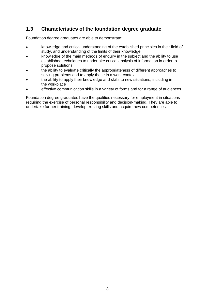#### <span id="page-4-0"></span>**1.3 Characteristics of the foundation degree graduate**

Foundation degree graduates are able to demonstrate:

- knowledge and critical understanding of the established principles in their field of study, and understanding of the limits of their knowledge
- knowledge of the main methods of enquiry in the subject and the ability to use established techniques to undertake critical analysis of information in order to propose solutions
- the ability to evaluate critically the appropriateness of different approaches to solving problems and to apply these in a work context
- the ability to apply their knowledge and skills to new situations, including in the workplace
- effective communication skills in a variety of forms and for a range of audiences.

Foundation degree graduates have the qualities necessary for employment in situations requiring the exercise of personal responsibility and decision-making. They are able to undertake further training, develop existing skills and acquire new competences.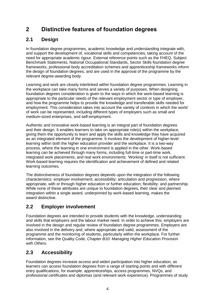# <span id="page-5-0"></span>**2 Distinctive features of foundation degrees**

## <span id="page-5-1"></span>**2.1 Design**

In foundation degree programmes, academic knowledge and understanding integrate with, and support the development of, vocational skills and competencies, taking account of the need for appropriate academic rigour. External reference points such as the FHEQ, Subject Benchmark Statements, National Occupational Standards, Sector Skills foundation degree frameworks, professional body accreditation schemes and apprenticeship frameworks inform the design of foundation degrees, and are used in the approval of the programme by the relevant degree-awarding body.

Learning and work are closely interlinked within foundation degree programmes. Learning in the workplace can take many forms and serves a variety of purposes. When designing foundation degrees consideration is given to the ways in which the work-based learning is appropriate to the particular needs of the relevant employment sector or type of employer, and how the programme helps to provide the knowledge and transferable skills needed for employment. This consideration takes into account the variety of contexts in which the world of work can be represented, including different types of employers such as small and medium-sized enterprises, and self-employment.

Authentic and innovative work-based learning is an integral part of foundation degrees and their design. It enables learners to take on appropriate role(s) within the workplace, giving them the opportunity to learn and apply the skills and knowledge they have acquired as an integrated element of the programme. It involves the development of higher-level learning within both the higher education provider and the workplace. It is a two-way process, where the learning in one environment is applied in the other. Work-based learning can be achieved through many forms, including full-time or part-time work, integrated work placements, and real work environments. 'Working' in itself is not sufficient. Work-based learning requires the identification and achievement of defined and related learning outcomes.

The distinctiveness of foundation degrees depends upon the integration of the following characteristics: employer involvement; accessibility; articulation and progression, where appropriate, with or through higher education or further education; flexibility; and partnership. While none of these attributes are unique to foundation degrees, their clear and planned integration within a single award, underpinned by work-based learning, makes the award distinctive.

## <span id="page-5-2"></span>**2.2 Employer involvement**

Foundation degrees are intended to provide students with the knowledge, understanding and skills that employers and the labour market need. In order to achieve this, employers are involved in the design and regular review of foundation degree programmes. Employers are also involved in the delivery and, where appropriate and valid, assessment of the programme and the monitoring of students, particularly within the workplace. For further information, see the Quality Code, *Chapter B10: Managing Higher Education Provision with Others*.

#### <span id="page-5-3"></span>**2.3 Accessibility**

Foundation degrees increase access and widen participation into higher education, as learners can access foundation degrees from a range of starting points and with different entry qualifications, for example: apprenticeships, access programmes, NVQs, and professional certificates and diplomas (and relevant work experience). Programmes of study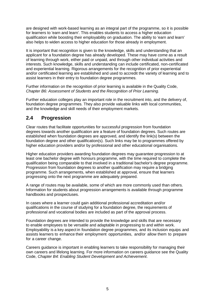are designed with work-based learning as an integral part of the programme, so it is possible for learners to 'earn and learn'. This enables students to access a higher education qualification while boosting their employability on graduation. The ability to 'earn and learn' also helps to widen access to higher education for those already in employment.

It is important that recognition is given to the knowledge, skills and understanding that an applicant for a foundation degree has already developed. These may have come as a result of learning through work, either paid or unpaid, and through other individual activities and interests. Such knowledge, skills and understanding can include certificated, non-certificated and experiential learning. Rigorous arrangements for the recognition of prior experiential and/or certificated learning are established and used to accredit the variety of learning and to assist learners in their entry to foundation degree programmes.

Further information on the recognition of prior learning is available in the Quality Code, *Chapter B6: Assessment of Students and the Recognition of Prior Learning.* 

Further education colleges play an important role in the recruitment into, and the delivery of, foundation degree programmes. They also provide valuable links with local communities, and the knowledge and skill needs of their employment markets.

#### <span id="page-6-0"></span>**2.4 Progression**

Clear routes that facilitate opportunities for successful progression from foundation degrees towards another qualification are a feature of foundation degrees. Such routes are established when foundation degrees are approved, and identify the link(s) between the foundation degree and other qualification(s). Such links may be to programmes offered by higher education providers and/or by professional and other educational organisations.

Higher education providers awarding foundation degrees may guarantee progression to at least one bachelor degree with honours programme, with the time required to complete the qualification being comparable to that involved in a traditional bachelor's degree programme. Progression from foundation degrees to another qualification may require a bridging programme. Such arrangements, when established at approval, ensure that learners progressing onto the next programme are adequately prepared.

A range of routes may be available, some of which are more commonly used than others. Information for students about progression arrangements is available through programme handbooks and prospectuses.

In cases where a learner could gain additional professional accreditation and/or qualifications in the course of studying for a foundation degree, the requirements of professional and vocational bodies are included as part of the approval process.

Foundation degrees are intended to provide the knowledge and skills that are necessary to enable employees to be versatile and adaptable in progressing to and within work. Employability is a key aspect in foundation degree programmes, and its inclusion equips and assists learners to enhance their employment opportunities, and/or allow them to prepare for a career change.

Careers guidance is important in enabling learners to take responsibility for managing their own careers and lifelong learning. For more information on careers guidance see the Quality Code, *Chapter B4: Enabling Student Development and Achievement*.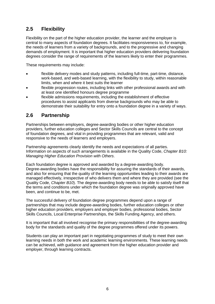#### <span id="page-7-0"></span>**2.5 Flexibility**

Flexibility on the part of the higher education provider, the learner and the employer is central to many aspects of foundation degrees. It facilitates responsiveness to, for example, the needs of learners from a variety of backgrounds, and to the progressive and changing demands of employment. It is important that higher education providers delivering foundation degrees consider the range of requirements of the learners likely to enter their programmes.

These requirements may include:

- flexible delivery modes and study patterns, including full-time, part-time, distance, work-based, and web-based learning, with the flexibility to study, within reasonable limits, when and where it best suits the learner
- flexible progression routes, including links with other professional awards and with at least one identified honours degree programme
- flexible admissions requirements, including the establishment of effective procedures to assist applicants from diverse backgrounds who may be able to demonstrate their suitability for entry onto a foundation degree in a variety of ways.

#### <span id="page-7-1"></span>**2.6 Partnership**

Partnerships between employers, degree-awarding bodies or other higher education providers, further education colleges and Sector Skills Councils are central to the concept of foundation degrees, and vital in providing programmes that are relevant, valid and responsive to the needs of learners and employers.

Partnership agreements clearly identify the needs and expectations of all parties. Information on aspects of such arrangements is available in the Quality Code, *Chapter B10: Managing Higher Education Provision with Others*.

Each foundation degree is approved and awarded by a degree-awarding body. Degree-awarding bodies have the responsibility for assuring the standards of their awards, and also for ensuring that the quality of the learning opportunities leading to their awards are managed effectively, irrespective of who delivers them and where they are provided (see the Quality Code, *Chapter B10*). The degree-awarding body needs to be able to satisfy itself that the terms and conditions under which the foundation degree was originally approved have been, and continue to be, met.

The successful delivery of foundation degree programmes depend upon a range of partnerships that may include degree-awarding bodies, further education colleges or other higher education providers, employers and employer bodies, professional bodies, Sector Skills Councils, Local Enterprise Partnerships, the Skills Funding Agency, and others.

It is important that all involved recognise the primary responsibilities of the degree-awarding body for the standards and quality of the degree programmes offered under its powers.

Students can play an important part in negotiating programmes of study to meet their own learning needs in both the work and academic learning environments. These learning needs can be achieved, with guidance and agreement from the higher education provider and employer, through learning contracts.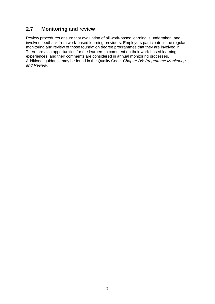#### <span id="page-8-0"></span>**2.7 Monitoring and review**

Review procedures ensure that evaluation of all work-based learning is undertaken, and involves feedback from work-based learning providers. Employers participate in the regular monitoring and review of those foundation degree programmes that they are involved in. There are also opportunities for the learners to comment on their work-based learning experiences, and their comments are considered in annual monitoring processes. Additional guidance may be found in the Quality Code, *Chapter B8: Programme Monitoring and Review*.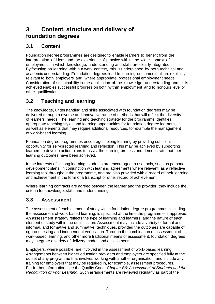# <span id="page-9-0"></span>**3 Content, structure and delivery of foundation degrees**

#### <span id="page-9-1"></span>**3.1 Content**

Foundation degree programmes are designed to enable learners to benefit from the interpretation of ideas and the experience of practice within the wider context of employment, in which knowledge, understanding and skills are clearly integrated. By focusing on learning within a work context, this is underpinned by both technical and academic understanding. Foundation degrees lead to learning outcomes that are explicitly relevant to both employers' and, where appropriate, professional employment needs. Consideration of sustainability in the application of the knowledge, understanding and skills achieved enables successful progression both within employment and to honours level or other qualifications.

#### <span id="page-9-2"></span>**3.2 Teaching and learning**

The knowledge, understanding and skills associated with foundation degrees may be delivered through a diverse and innovative range of methods that will reflect the diversity of learners' needs. The learning and teaching strategy for the programme identifies appropriate teaching styles and learning opportunities for foundation degree learners, as well as elements that may require additional resources, for example the management of work-based learning.

Foundation degree programmes encourage lifelong learning by providing sufficient opportunity for self-directed learning and reflection. This may be achieved by supporting learners to develop action plans to assist the learning process and demonstrate that their learning outcomes have been achieved.

In the interests of lifelong learning, students are encouraged to use tools, such as personal development plans, in conjunction with learning agreements where relevant, as a reflective learning tool throughout the programme, and are also provided with a record of their learning and achievement in the form of a transcript or other record of achievement.

Where learning contracts are agreed between the learner and the provider, they include the criteria for knowledge, skills and understanding.

#### <span id="page-9-3"></span>**3.3 Assessment**

The assessment of each element of study within foundation degree programmes, including the assessment of work-based learning, is specified at the time the programme is approved. An assessment strategy reflects the type of learning and learners, and the nature of each element of study within the qualification. Assessment may include a variety of formal and informal, and formative and summative, techniques, provided the outcomes are capable of rigorous testing and independent verification. Through the combination of assessment of work-based learning, and other more traditional means of assessment, foundation degrees may integrate a variety of delivery modes and assessments.

Employers, where possible, are involved in the assessment of work-based learning. Arrangements between higher education providers and employers are specified fully at the outset of any programme that involves working with another organisation, and include any training for employers that may be required in, for example, assessment procedures. For further information, see the Quality Code, *Chapter B6: Assessment of Students and the Recognition of Prior Learning.* Such arrangements are reviewed regularly as part of the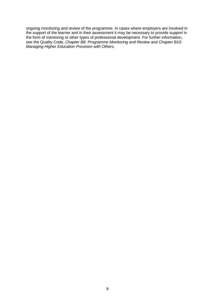ongoing monitoring and review of the programme. In cases where employers are involved in the support of the learner and in their assessment it may be necessary to provide support in the form of mentoring or other types of professional development. For further information, see the Quality Code, *Chapter B8: Programme Monitoring and Review* and *Chapter B10: Managing Higher Education Provision with Others*.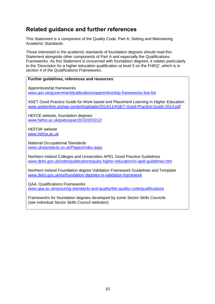# <span id="page-11-0"></span>**Related guidance and further references**

This Statement is a component of the Quality Code, Part A: Setting and Maintaining Academic Standards.

Those interested in the academic standards of foundation degrees should read this Statement alongside other components of Part A and especially the Qualifications Frameworks. As this Statement is concerned with foundation degrees, it relates particularly to the 'Descriptor for a higher education qualification at level 5 on the FHEQ', which is in section 4 of the Qualifications Frameworks.

#### **Further guidelines, references and resources**

Apprenticeship frameworks [www.gov.uk/government/publications/apprenticeship-frameworks-live-list](http://www.gov.uk/government/publications/apprenticeship-frameworks-live-list)

ASET Good Practice Guide for Work based and Placement Learning in Higher Education [www.asetonline.org/wp-content/uploads/2014/11/ASET-Good-Practice-Guide-2014.pdf](http://www.asetonline.org/wp-content/uploads/2014/11/ASET-Good-Practice-Guide-2014.pdf)

HEFCE website, foundation degrees [www.hefce.ac.uk/pubs/year/2010/201012/](http://www.hefce.ac.uk/pubs/year/2010/201012/)

HEFCW website [www.hefcw.ac.uk](http://www.hefcw.ac.uk/)

National Occupational Standards [www.ukstandards.co.uk/Pages/index.aspx](http://www.ukstandards.co.uk/Pages/index.aspx)

Northern Ireland Colleges and Universities APEL Good Practice Guidelines [www.delni.gov.uk/index/publications/pubs-higher-education/ni-apel-guidelines.htm](http://www.delni.gov.uk/index/publications/pubs-higher-education/ni-apel-guidelines.htm)

Northern Ireland Foundation degree Validation Framework Guidelines and Template [www.delni.gov.uk/es/foundation-degrees-ni-validation-framework](http://www.delni.gov.uk/es/foundation-degrees-ni-validation-framework)

QAA, Qualifications Frameworks [www.qaa.ac.uk/assuring-standards-and-quality/the-quality-code/qualifications](http://www.qaa.ac.uk/assuring-standards-and-quality/the-quality-code/qualifications)

Frameworks for foundation degrees developed by some Sector Skills Councils (see individual Sector Skills Council websites)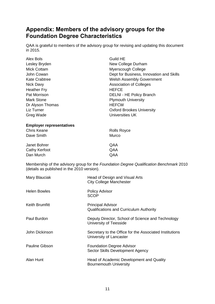# <span id="page-12-0"></span>**Appendix: Members of the advisory groups for the Foundation Degree Characteristics**

QAA is grateful to members of the advisory group for revising and updating this document in 2015.

| <b>Alex Bols</b>                            | <b>Guild HE</b>                                                                         |
|---------------------------------------------|-----------------------------------------------------------------------------------------|
| Lesley Bryden                               | New College Durham                                                                      |
| <b>Mick Cottam</b>                          | Myerscough College                                                                      |
| John Cowan                                  | Dept for Business, Innovation and Skills                                                |
| <b>Kate Crabtree</b>                        | <b>Welsh Assembly Government</b>                                                        |
| Nick Davy                                   | <b>Association of Colleges</b>                                                          |
| <b>Heather Fry</b>                          | <b>HEFCE</b>                                                                            |
| Pat Morrison                                | <b>DELNI - HE Policy Branch</b>                                                         |
| <b>Mark Stone</b>                           | <b>Plymouth University</b>                                                              |
| Dr Alyson Thomas                            | <b>HEFCW</b>                                                                            |
| Liz Turner                                  | <b>Oxford Brookes University</b>                                                        |
| Greg Wade                                   | <b>Universities UK</b>                                                                  |
| <b>Employer representatives</b>             |                                                                                         |
| <b>Chris Keane</b>                          | <b>Rolls Royce</b>                                                                      |
| Dave Smith                                  | Murco                                                                                   |
| Janet Bohrer                                | QAA                                                                                     |
| <b>Cathy Kerfoot</b>                        | QAA                                                                                     |
| Dan Murch                                   | QAA                                                                                     |
| (details as published in the 2010 version). | Membership of the advisory group for the Foundation Degree Qualification Benchmark 2010 |
| Mary Blauciak                               | Head of Design and Visual Arts<br><b>City College Manchester</b>                        |
| <b>Helen Bowles</b>                         | <b>Policy Advisor</b><br><b>SCOP</b>                                                    |
| <b>Keith Brumfitt</b>                       | <b>Principal Advisor</b><br>Qualifications and Curriculum Authority                     |
| Paul Burdon                                 | Deputy Director, School of Science and Technology<br>University of Teesside             |
| John Dickinson                              | Secretary to the Office for the Associated Institutions<br>University of Lancaster      |
| <b>Pauline Gibson</b>                       | <b>Foundation Degree Advisor</b><br>Sector Skills Development Agency                    |
| Alan Hunt                                   | Head of Academic Development and Quality<br><b>Bournemouth University</b>               |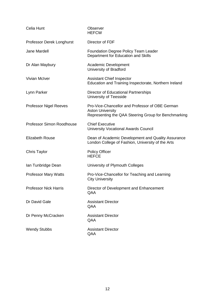| Celia Hunt                    | Observer<br><b>HEFCW</b>                                                                                                           |
|-------------------------------|------------------------------------------------------------------------------------------------------------------------------------|
| Professor Derek Longhurst     | Director of FDF                                                                                                                    |
| Jane Mardell                  | <b>Foundation Degree Policy Team Leader</b><br>Department for Education and Skills                                                 |
| Dr Alan Maybury               | Academic Development<br>University of Bradford                                                                                     |
| <b>Vivian McIver</b>          | <b>Assistant Chief Inspector</b><br>Education and Training Inspectorate, Northern Ireland                                          |
| Lynn Parker                   | Director of Educational Partnerships<br>University of Teesside                                                                     |
| <b>Professor Nigel Reeves</b> | Pro-Vice-Chancellor and Professor of OBE German<br><b>Aston University</b><br>Representing the QAA Steering Group for Benchmarking |
| Professor Simon Roodhouse     | <b>Chief Executive</b><br><b>University Vocational Awards Council</b>                                                              |
| <b>Elizabeth Rouse</b>        | Dean of Academic Development and Quality Assurance<br>London College of Fashion, University of the Arts                            |
| <b>Chris Taylor</b>           | <b>Policy Officer</b><br><b>HEFCE</b>                                                                                              |
| Ian Tunbridge Dean            | University of Plymouth Colleges                                                                                                    |
| <b>Professor Mary Watts</b>   | Pro-Vice-Chancellor for Teaching and Learning<br><b>City University</b>                                                            |
| <b>Professor Nick Harris</b>  | Director of Development and Enhancement<br>QAA                                                                                     |
| Dr David Gale                 | <b>Assistant Director</b><br>QAA                                                                                                   |
| Dr Penny McCracken            | <b>Assistant Director</b><br>QAA                                                                                                   |
| <b>Wendy Stubbs</b>           | <b>Assistant Director</b><br>QAA                                                                                                   |